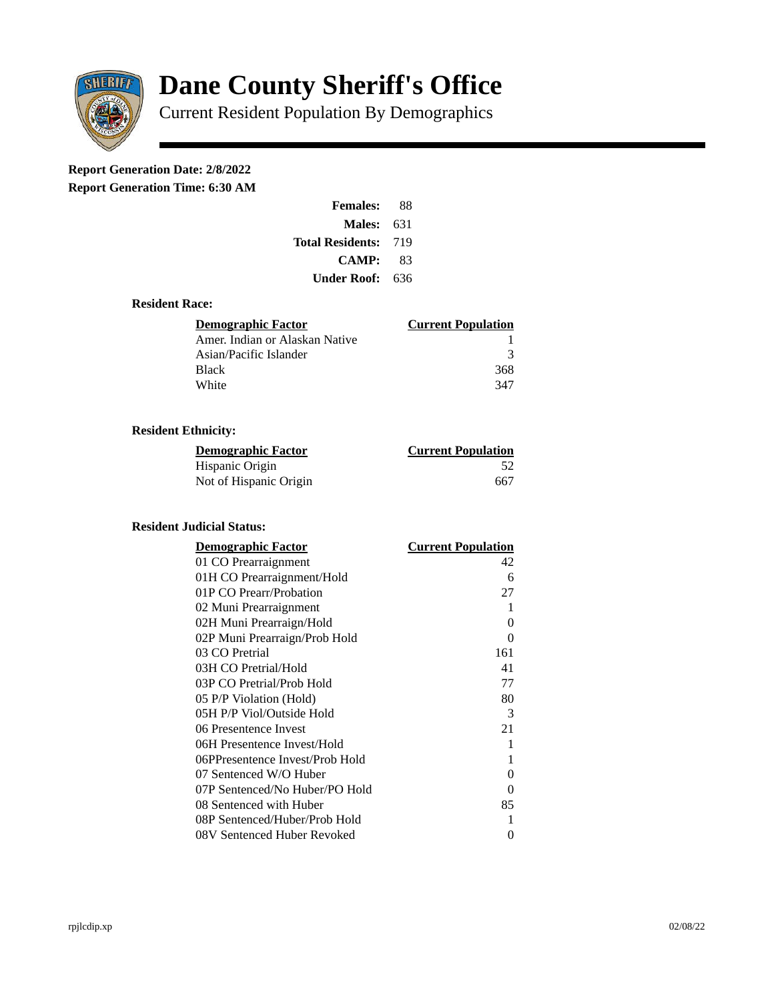

# **Dane County Sheriff's Office**

Current Resident Population By Demographics

# **Report Generation Date: 2/8/2022**

**Report Generation Time: 6:30 AM** 

| <b>Females:</b>  | 88  |
|------------------|-----|
| Males:           | 631 |
| Total Residents: | 719 |
| <b>CAMP:</b>     | 83  |
| Under Roof: .    | 636 |

#### **Resident Race:**

| Demographic Factor             | <b>Current Population</b> |
|--------------------------------|---------------------------|
| Amer. Indian or Alaskan Native |                           |
| Asian/Pacific Islander         | २                         |
| <b>Black</b>                   | 368                       |
| White                          | 347                       |

## **Resident Ethnicity:**

| <u> Demographic Factor</u> | <b>Current Population</b> |
|----------------------------|---------------------------|
| Hispanic Origin            | 52                        |
| Not of Hispanic Origin     | 667                       |

### **Resident Judicial Status:**

| <b>Demographic Factor</b>       | <b>Current Population</b> |
|---------------------------------|---------------------------|
| 01 CO Prearraignment            | 42                        |
| 01H CO Prearraignment/Hold      | 6                         |
| 01P CO Prearr/Probation         | 27                        |
| 02 Muni Prearraignment          | 1                         |
| 02H Muni Prearraign/Hold        | 0                         |
| 02P Muni Prearraign/Prob Hold   | 0                         |
| 03 CO Pretrial                  | 161                       |
| 03H CO Pretrial/Hold            | 41                        |
| 03P CO Pretrial/Prob Hold       | 77                        |
| 05 P/P Violation (Hold)         | 80                        |
| 05H P/P Viol/Outside Hold       | 3                         |
| 06 Presentence Invest           | 21                        |
| 06H Presentence Invest/Hold     | 1                         |
| 06PPresentence Invest/Prob Hold | 1                         |
| 07 Sentenced W/O Huber          | 0                         |
| 07P Sentenced/No Huber/PO Hold  | 0                         |
| 08 Sentenced with Huber         | 85                        |
| 08P Sentenced/Huber/Prob Hold   | 1                         |
| 08V Sentenced Huber Revoked     | 0                         |